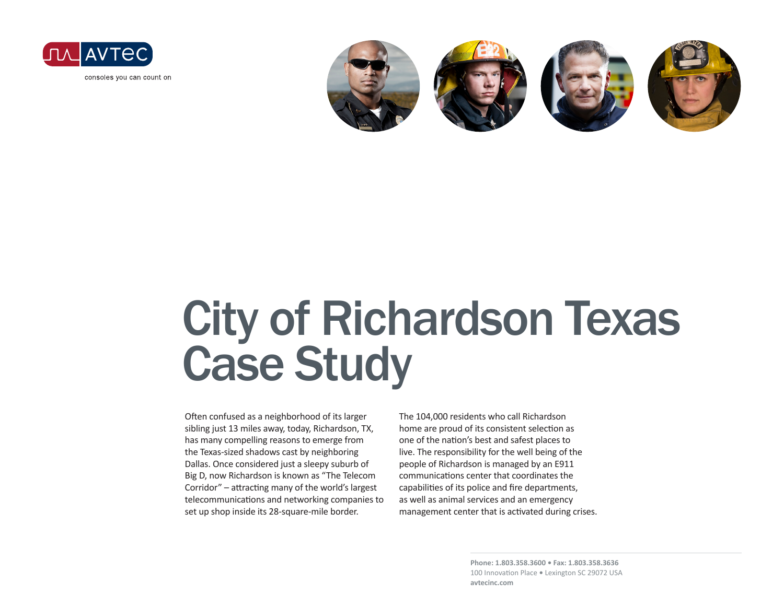

consoles you can count on



# City of Richardson Texas Case Study

Often confused as a neighborhood of its larger sibling just 13 miles away, today, Richardson, TX, has many compelling reasons to emerge from the Texas-sized shadows cast by neighboring Dallas. Once considered just a sleepy suburb of Big D, now Richardson is known as "The Telecom Corridor" – attracting many of the world's largest telecommunications and networking companies to set up shop inside its 28-square-mile border.

The 104,000 residents who call Richardson home are proud of its consistent selection as one of the nation's best and safest places to live. The responsibility for the well being of the people of Richardson is managed by an E911 communications center that coordinates the capabilities of its police and fire departments, as well as animal services and an emergency management center that is activated during crises.

> **Phone: 1.803.358.3600 • Fax: 1.803.358.3636** 100 Innovation Place **•** Lexington SC 29072 USA **avtecinc.com**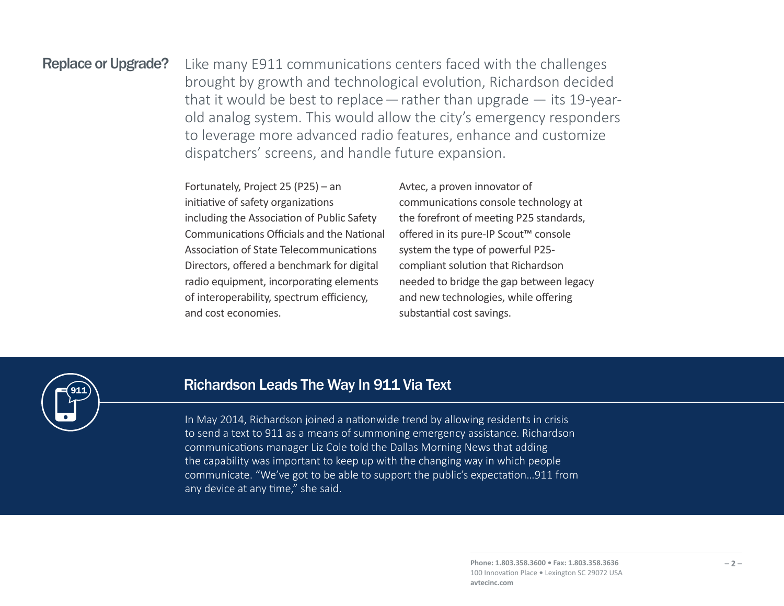### Replace or Upgrade?

911

Like many E911 communications centers faced with the challenges brought by growth and technological evolution, Richardson decided that it would be best to replace  $-$  rather than upgrade  $-$  its 19-yearold analog system. This would allow the city's emergency responders to leverage more advanced radio features, enhance and customize dispatchers' screens, and handle future expansion.

Fortunately, Project 25 (P25) – an initiative of safety organizations including the Association of Public Safety Communications Officials and the National Association of State Telecommunications Directors, offered a benchmark for digital radio equipment, incorporating elements of interoperability, spectrum efficiency, and cost economies.

Avtec, a proven innovator of communications console technology at the forefront of meeting P25 standards, offered in its pure-IP Scout™ console system the type of powerful P25 compliant solution that Richardson needed to bridge the gap between legacy and new technologies, while offering substantial cost savings.

### Richardson Leads The Way In 911 Via Text

In May 2014, Richardson joined a nationwide trend by allowing residents in crisis to send a text to 911 as a means of summoning emergency assistance. Richardson communications manager Liz Cole told the Dallas Morning News that adding the capability was important to keep up with the changing way in which people communicate. "We've got to be able to support the public's expectation…911 from any device at any time," she said.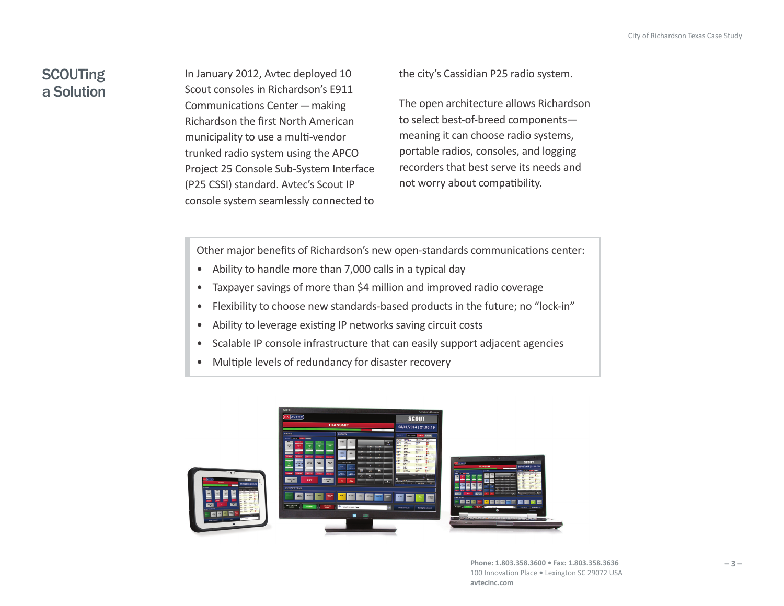## **SCOUTing** a Solution

In January 2012, Avtec deployed 10 Scout consoles in Richardson's E911 Communications Center—making Richardson the first North American municipality to use a multi-vendor trunked radio system using the APCO Project 25 Console Sub-System Interface (P25 CSSI) standard. Avtec's Scout IP console system seamlessly connected to

the city's Cassidian P25 radio system.

The open architecture allows Richardson to select best-of-breed components meaning it can choose radio systems, portable radios, consoles, and logging recorders that best serve its needs and not worry about compatibility.

Other major benefits of Richardson's new open-standards communications center:

- Ability to handle more than 7,000 calls in a typical day
- Taxpayer savings of more than \$4 million and improved radio coverage
- Flexibility to choose new standards-based products in the future; no "lock-in"
- Ability to leverage existing IP networks saving circuit costs
- Scalable IP console infrastructure that can easily support adjacent agencies
- Multiple levels of redundancy for disaster recovery



**Phone: 1.803.358.3600 • Fax: 1.803.358.3636** 100 Innovation Place **•** Lexington SC 29072 USA **avtecinc.com**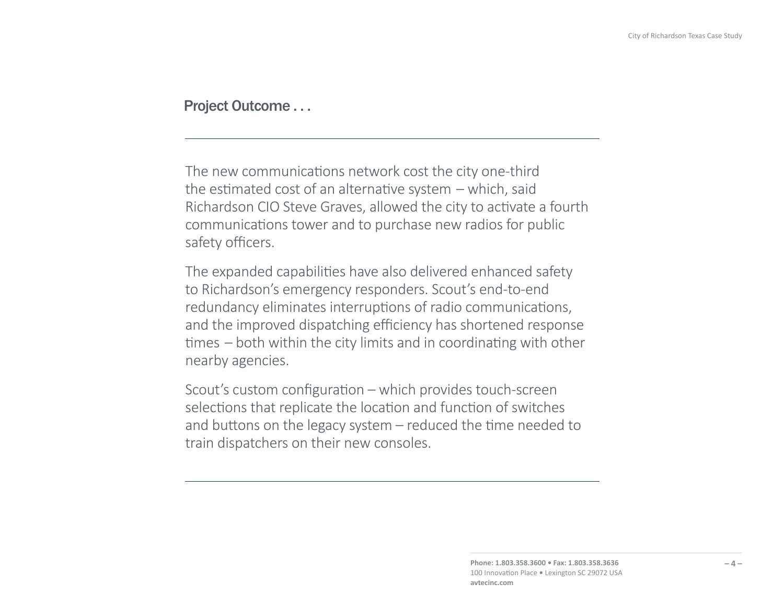#### Project Outcome . . .

The new communications network cost the city one-third the estimated cost of an alternative system – which, said Richardson CIO Steve Graves, allowed the city to activate a fourth communications tower and to purchase new radios for public safety officers.

The expanded capabilities have also delivered enhanced safety to Richardson's emergency responders. Scout's end-to-end redundancy eliminates interruptions of radio communications, and the improved dispatching efficiency has shortened response times – both within the city limits and in coordinating with other nearby agencies.

Scout's custom configuration – which provides touch-screen selections that replicate the location and function of switches and buttons on the legacy system – reduced the time needed to train dispatchers on their new consoles.

> **Phone: 1.803.358.3600 • Fax: 1.803.358.3636** 100 Innovation Place **•** Lexington SC 29072 USA **avtecinc.com**